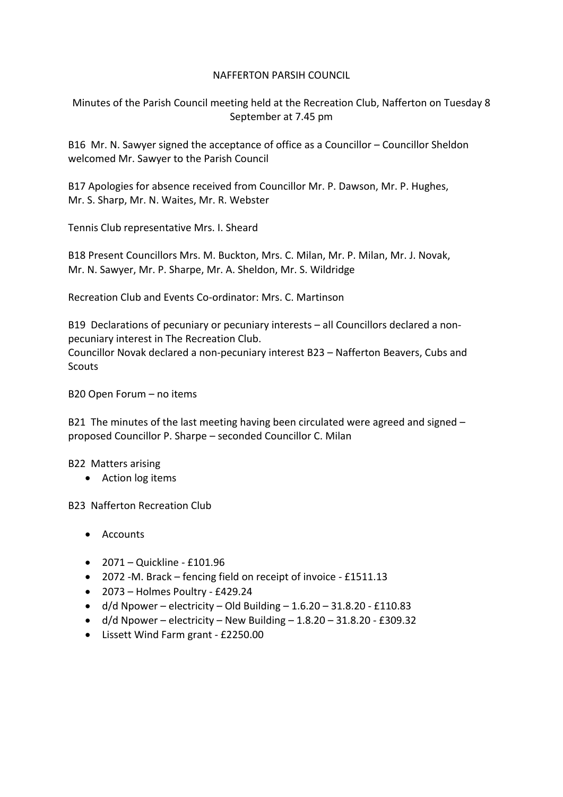## NAFFERTON PARSIH COUNCIL

Minutes of the Parish Council meeting held at the Recreation Club, Nafferton on Tuesday 8 September at 7.45 pm

B16 Mr. N. Sawyer signed the acceptance of office as a Councillor – Councillor Sheldon welcomed Mr. Sawyer to the Parish Council

B17 Apologies for absence received from Councillor Mr. P. Dawson, Mr. P. Hughes, Mr. S. Sharp, Mr. N. Waites, Mr. R. Webster

Tennis Club representative Mrs. I. Sheard

B18 Present Councillors Mrs. M. Buckton, Mrs. C. Milan, Mr. P. Milan, Mr. J. Novak, Mr. N. Sawyer, Mr. P. Sharpe, Mr. A. Sheldon, Mr. S. Wildridge

Recreation Club and Events Co-ordinator: Mrs. C. Martinson

B19 Declarations of pecuniary or pecuniary interests – all Councillors declared a nonpecuniary interest in The Recreation Club. Councillor Novak declared a non-pecuniary interest B23 – Nafferton Beavers, Cubs and Scouts

B20 Open Forum – no items

B21 The minutes of the last meeting having been circulated were agreed and signed – proposed Councillor P. Sharpe – seconded Councillor C. Milan

B22 Matters arising

• Action log items

B23 Nafferton Recreation Club

- Accounts
- 2071 Quickline £101.96
- 2072 -M. Brack fencing field on receipt of invoice £1511.13
- 2073 Holmes Poultry £429.24
- $\bullet$  d/d Npower electricity Old Building 1.6.20 31.8.20 £110.83
- $\bullet$  d/d Npower electricity New Building 1.8.20 31.8.20 £309.32
- Lissett Wind Farm grant £2250.00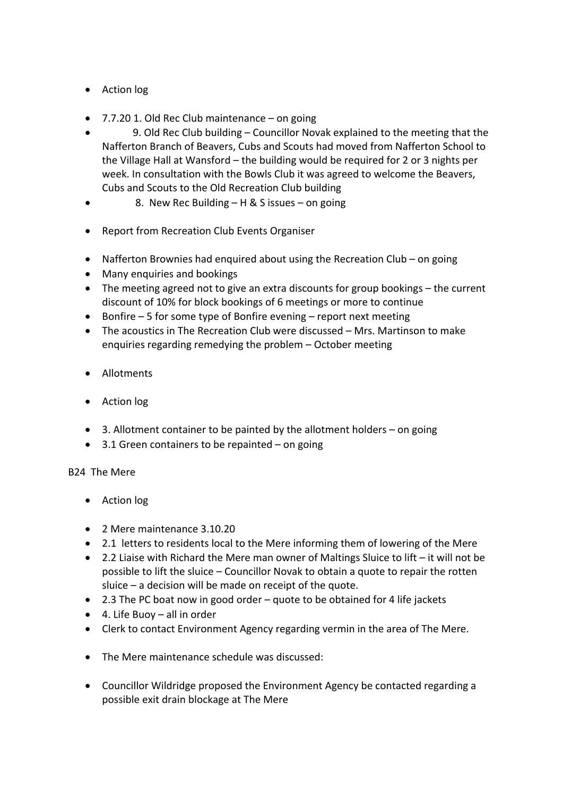- Action log
- 7.7.20 1. Old Rec Club maintenance on going
- 9. Old Rec Club building Councillor Novak explained to the meeting that the Nafferton Branch of Beavers, Cubs and Scouts had moved from Nafferton School to the Village Hall at Wansford – the building would be required for 2 or 3 nights per week. In consultation with the Bowls Club it was agreed to welcome the Beavers, Cubs and Scouts to the Old Recreation Club building
- 8. New Rec Building H & S issues on going
- Report from Recreation Club Events Organiser
- Nafferton Brownies had enquired about using the Recreation Club on going
- Many enquiries and bookings
- The meeting agreed not to give an extra discounts for group bookings the current discount of 10% for block bookings of 6 meetings or more to continue
- Bonfire 5 for some type of Bonfire evening report next meeting
- The acoustics in The Recreation Club were discussed Mrs. Martinson to make enquiries regarding remedying the problem – October meeting
- Allotments
- Action log
- 3. Allotment container to be painted by the allotment holders on going
- $\bullet$  3.1 Green containers to be repainted on going

# B24 The Mere

- Action log
- 2 Mere maintenance 3.10.20
- 2.1 letters to residents local to the Mere informing them of lowering of the Mere
- 2.2 Liaise with Richard the Mere man owner of Maltings Sluice to lift it will not be possible to lift the sluice – Councillor Novak to obtain a quote to repair the rotten sluice – a decision will be made on receipt of the quote.
- 2.3 The PC boat now in good order quote to be obtained for 4 life jackets
- 4. Life Buoy all in order
- Clerk to contact Environment Agency regarding vermin in the area of The Mere.
- The Mere maintenance schedule was discussed:
- Councillor Wildridge proposed the Environment Agency be contacted regarding a possible exit drain blockage at The Mere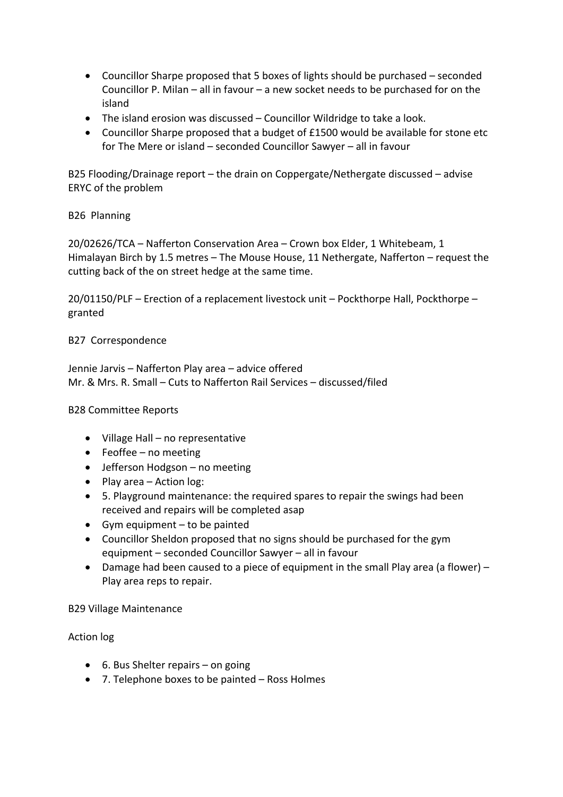- Councillor Sharpe proposed that 5 boxes of lights should be purchased seconded Councillor P. Milan – all in favour – a new socket needs to be purchased for on the island
- The island erosion was discussed Councillor Wildridge to take a look.
- Councillor Sharpe proposed that a budget of £1500 would be available for stone etc for The Mere or island – seconded Councillor Sawyer – all in favour

B25 Flooding/Drainage report – the drain on Coppergate/Nethergate discussed – advise ERYC of the problem

## B26 Planning

20/02626/TCA – Nafferton Conservation Area – Crown box Elder, 1 Whitebeam, 1 Himalayan Birch by 1.5 metres – The Mouse House, 11 Nethergate, Nafferton – request the cutting back of the on street hedge at the same time.

20/01150/PLF – Erection of a replacement livestock unit – Pockthorpe Hall, Pockthorpe – granted

## B27 Correspondence

Jennie Jarvis – Nafferton Play area – advice offered Mr. & Mrs. R. Small – Cuts to Nafferton Rail Services – discussed/filed

### B28 Committee Reports

- Village Hall no representative
- Feoffee no meeting
- Jefferson Hodgson no meeting
- Play area Action log:
- 5. Playground maintenance: the required spares to repair the swings had been received and repairs will be completed asap
- Gym equipment to be painted
- Councillor Sheldon proposed that no signs should be purchased for the gym equipment – seconded Councillor Sawyer – all in favour
- Damage had been caused to a piece of equipment in the small Play area (a flower) Play area reps to repair.

### B29 Village Maintenance

### Action log

- 6. Bus Shelter repairs on going
- 7. Telephone boxes to be painted Ross Holmes